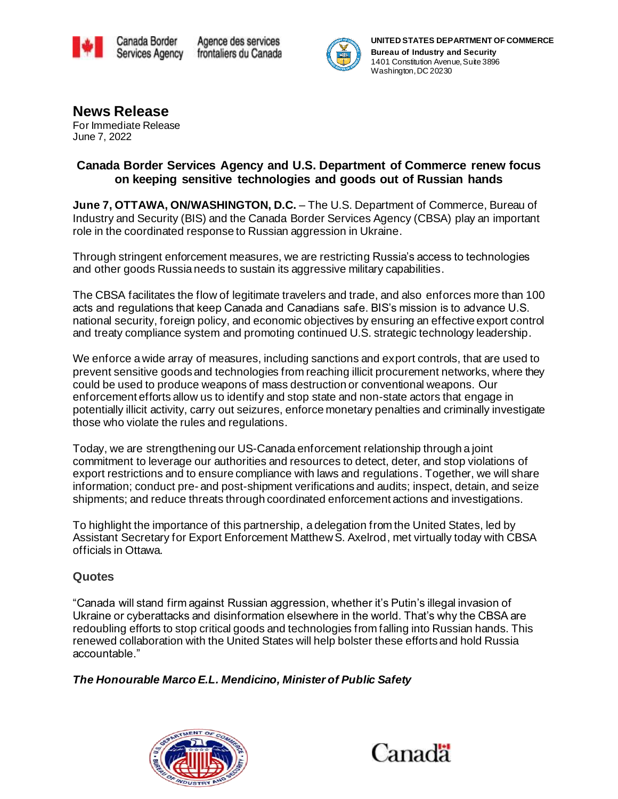



**News Release** For Immediate Release June 7, 2022

### **Canada Border Services Agency and U.S. Department of Commerce renew focus on keeping sensitive technologies and goods out of Russian hands**

**June 7, OTTAWA, ON/WASHINGTON, D.C.** – The U.S. Department of Commerce, Bureau of Industry and Security (BIS) and the Canada Border Services Agency (CBSA) play an important role in the coordinated response to Russian aggression in Ukraine.

Through stringent enforcement measures, we are restricting Russia's access to technologies and other goods Russia needs to sustain its aggressive military capabilities.

The CBSA facilitates the flow of legitimate travelers and trade, and also enforces more than 100 acts and regulations that keep Canada and Canadians safe. BIS's mission is to advance U.S. national security, foreign policy, and economic objectives by ensuring an effective export control and treaty compliance system and promoting continued U.S. strategic technology leadership.

We enforce a wide array of measures, including sanctions and export controls, that are used to prevent sensitive goods and technologies from reaching illicit procurement networks, where they could be used to produce weapons of mass destruction or conventional weapons. Our enforcement efforts allow us to identify and stop state and non-state actors that engage in potentially illicit activity, carry out seizures, enforce monetary penalties and criminally investigate those who violate the rules and regulations.

Today, we are strengthening our US-Canada enforcement relationship through a joint commitment to leverage our authorities and resources to detect, deter, and stop violations of export restrictions and to ensure compliance with laws and regulations. Together, we will share information; conduct pre- and post-shipment verifications and audits; inspect, detain, and seize shipments; and reduce threats through coordinated enforcement actions and investigations.

To highlight the importance of this partnership, a delegation from the United States, led by Assistant Secretary for Export Enforcement Matthew S. Axelrod, met virtually today with CBSA officials in Ottawa.

# **Quotes**

"Canada will stand firm against Russian aggression, whether it's Putin's illegal invasion of Ukraine or cyberattacks and disinformation elsewhere in the world. That's why the CBSA are redoubling efforts to stop critical goods and technologies from falling into Russian hands. This renewed collaboration with the United States will help bolster these efforts and hold Russia accountable."

#### *The Honourable Marco E.L. Mendicino, Minister of Public Safety*